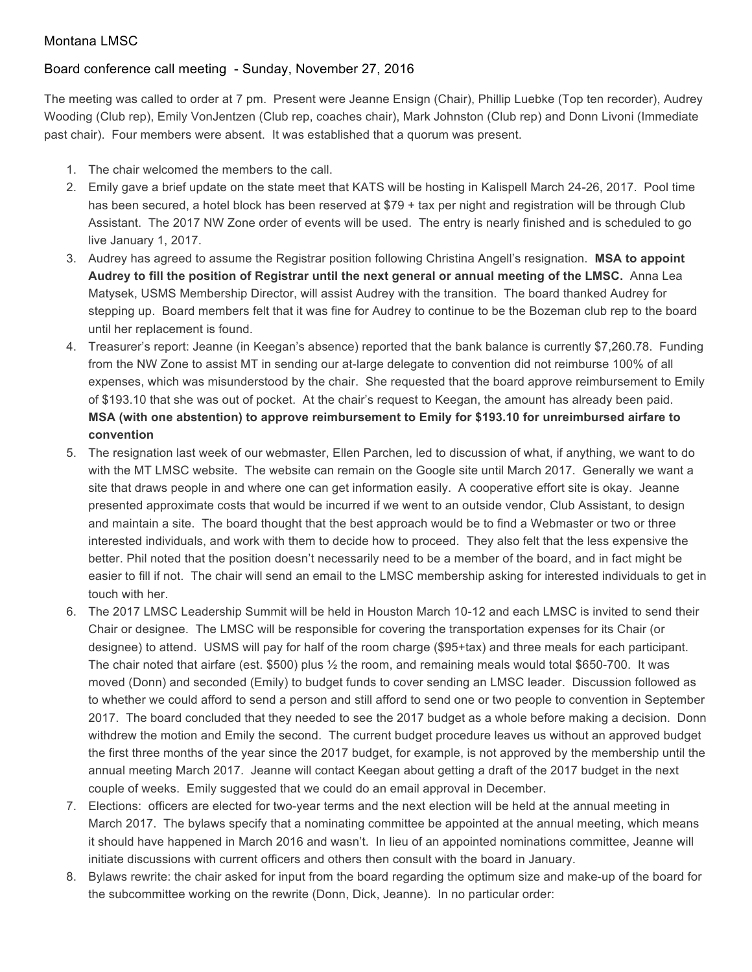## Montana LMSC

## Board conference call meeting - Sunday, November 27, 2016

The meeting was called to order at 7 pm. Present were Jeanne Ensign (Chair), Phillip Luebke (Top ten recorder), Audrey Wooding (Club rep), Emily VonJentzen (Club rep, coaches chair), Mark Johnston (Club rep) and Donn Livoni (Immediate past chair). Four members were absent. It was established that a quorum was present.

- 1. The chair welcomed the members to the call.
- 2. Emily gave a brief update on the state meet that KATS will be hosting in Kalispell March 24-26, 2017. Pool time has been secured, a hotel block has been reserved at \$79 + tax per night and registration will be through Club Assistant. The 2017 NW Zone order of events will be used. The entry is nearly finished and is scheduled to go live January 1, 2017.
- 3. Audrey has agreed to assume the Registrar position following Christina Angell's resignation. **MSA to appoint Audrey to fill the position of Registrar until the next general or annual meeting of the LMSC.** Anna Lea Matysek, USMS Membership Director, will assist Audrey with the transition. The board thanked Audrey for stepping up. Board members felt that it was fine for Audrey to continue to be the Bozeman club rep to the board until her replacement is found.
- 4. Treasurer's report: Jeanne (in Keegan's absence) reported that the bank balance is currently \$7,260.78. Funding from the NW Zone to assist MT in sending our at-large delegate to convention did not reimburse 100% of all expenses, which was misunderstood by the chair. She requested that the board approve reimbursement to Emily of \$193.10 that she was out of pocket. At the chair's request to Keegan, the amount has already been paid. **MSA (with one abstention) to approve reimbursement to Emily for \$193.10 for unreimbursed airfare to convention**
- 5. The resignation last week of our webmaster, Ellen Parchen, led to discussion of what, if anything, we want to do with the MT LMSC website. The website can remain on the Google site until March 2017. Generally we want a site that draws people in and where one can get information easily. A cooperative effort site is okay. Jeanne presented approximate costs that would be incurred if we went to an outside vendor, Club Assistant, to design and maintain a site. The board thought that the best approach would be to find a Webmaster or two or three interested individuals, and work with them to decide how to proceed. They also felt that the less expensive the better. Phil noted that the position doesn't necessarily need to be a member of the board, and in fact might be easier to fill if not. The chair will send an email to the LMSC membership asking for interested individuals to get in touch with her.
- 6. The 2017 LMSC Leadership Summit will be held in Houston March 10-12 and each LMSC is invited to send their Chair or designee. The LMSC will be responsible for covering the transportation expenses for its Chair (or designee) to attend. USMS will pay for half of the room charge (\$95+tax) and three meals for each participant. The chair noted that airfare (est. \$500) plus ½ the room, and remaining meals would total \$650-700. It was moved (Donn) and seconded (Emily) to budget funds to cover sending an LMSC leader. Discussion followed as to whether we could afford to send a person and still afford to send one or two people to convention in September 2017. The board concluded that they needed to see the 2017 budget as a whole before making a decision. Donn withdrew the motion and Emily the second. The current budget procedure leaves us without an approved budget the first three months of the year since the 2017 budget, for example, is not approved by the membership until the annual meeting March 2017. Jeanne will contact Keegan about getting a draft of the 2017 budget in the next couple of weeks. Emily suggested that we could do an email approval in December.
- 7. Elections: officers are elected for two-year terms and the next election will be held at the annual meeting in March 2017. The bylaws specify that a nominating committee be appointed at the annual meeting, which means it should have happened in March 2016 and wasn't. In lieu of an appointed nominations committee, Jeanne will initiate discussions with current officers and others then consult with the board in January.
- 8. Bylaws rewrite: the chair asked for input from the board regarding the optimum size and make-up of the board for the subcommittee working on the rewrite (Donn, Dick, Jeanne). In no particular order: